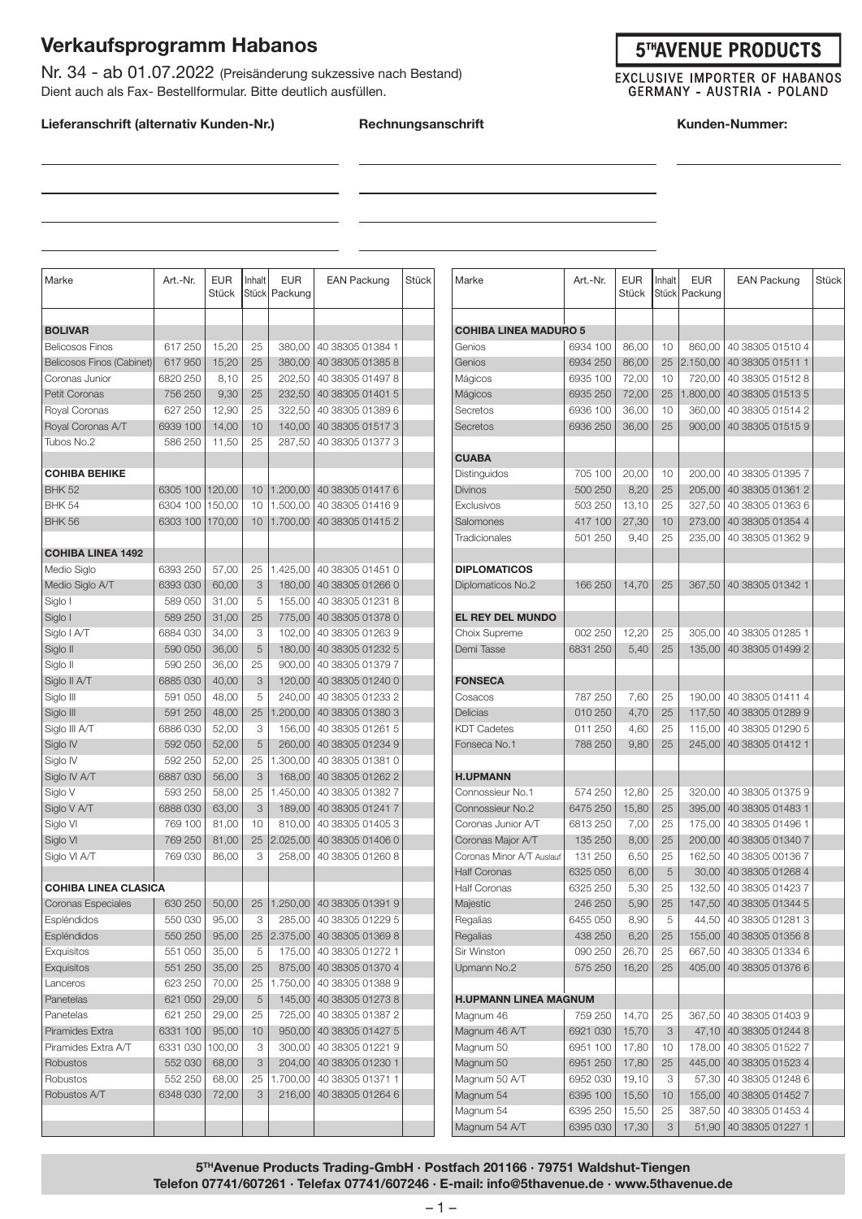## **Verkaufsprogramm Habanos**

Nr. 34 - ab 01.07.2022 (Preisänderung sukzessive nach Bestand) Dient auch als Fax- Bestellformular. Bitte deutlich ausfüllen.

#### **Lieferanschrift (alternativ Kunden-Nr.) Rechnungsanschrift Kunden-Nummer:**

#### **5THAVENUE PRODUCTS**

**EXCLUSIVE IMPORTER OF HABANOS GERMANY - AUSTRIA - POLAND** 

EAN Packung Stück

| Marke                       | Art.-Nr.        | <b>EUR</b><br>Stück | Inhalt<br>Stück | <b>EUR</b><br>Packung | <b>EAN Packung</b>                                                                                                                                                     | <b>Stück</b> | Marke                        | Art.-Nr. | <b>EUR</b><br>Stück | Inhalt | <b>EUR</b><br>Stück   Packung | <b>EAN Packung</b>        |
|-----------------------------|-----------------|---------------------|-----------------|-----------------------|------------------------------------------------------------------------------------------------------------------------------------------------------------------------|--------------|------------------------------|----------|---------------------|--------|-------------------------------|---------------------------|
| <b>BOLIVAR</b>              |                 |                     |                 |                       |                                                                                                                                                                        |              | <b>COHIBA LINEA MADURO 5</b> |          |                     |        |                               |                           |
| <b>Belicosos Finos</b>      | 617 250         | 15,20               | 25              | 380,00                | 40 38305 01384 1                                                                                                                                                       |              | Genios                       | 6934 100 | 86,00               | 10     | 860,00                        | 40 38305 01510 4          |
| Belicosos Finos (Cabinet)   | 617 950         | 15,20               | 25              | 380,00                | 40 38305 01385 8                                                                                                                                                       |              | Genios                       | 6934 250 | 86,00               | 25     | 2.150,00                      | 40 38305 01511 1          |
| Coronas Junior              | 6820 250        | 8,10                | 25              | 202,50                | 40 38305 01497 8                                                                                                                                                       |              | Mágicos                      | 6935 100 | 72,00               | 10     | 720,00                        | 40 38305 01512 8          |
| Petit Coronas               | 756 250         | 9,30                | 25              | 232,50                | 40 38305 01401 5                                                                                                                                                       |              | Mágicos                      | 6935 250 | 72,00               | 25     | .800,00                       | 40 38305 01513 5          |
| Royal Coronas               | 627 250         | 12,90               | 25              | 322,50                | 40 38305 01389 6                                                                                                                                                       |              | Secretos                     | 6936 100 | 36,00               | 10     | 360,00                        | 40 38305 01514 2          |
| Royal Coronas A/T           | 6939 100        | 14,00               | 10              | 140,00                | 40 38305 01517 3                                                                                                                                                       |              | Secretos                     | 6936 250 | 36,00               | 25     | 900,00                        | 40 38305 01515 9          |
| Tubos No.2                  | 586 250         | 11,50               | 25              | 287,50                | 40 38305 01377 3                                                                                                                                                       |              |                              |          |                     |        |                               |                           |
|                             |                 |                     |                 |                       |                                                                                                                                                                        |              | <b>CUABA</b>                 |          |                     |        |                               |                           |
| <b>COHIBA BEHIKE</b>        |                 |                     |                 |                       |                                                                                                                                                                        |              | Distinguidos                 | 705 100  | 20,00               | 10     | 200,00                        | 40 38305 01395 7          |
| <b>BHK 52</b>               | 6305 100 120,00 |                     | 10              | 1.200,00              | 40 38305 01417 6                                                                                                                                                       |              | <b>Divinos</b>               | 500 250  | 8,20                | 25     | 205,00                        | 40 38305 01361 2          |
| <b>BHK 54</b>               | 6304 100        | 150,00              | 10              | 1.500,00              | 40 38305 01416 9                                                                                                                                                       |              | Exclusivos                   | 503 250  | 13,10               | 25     | 327,50                        | 40 38305 01363 6          |
| <b>BHK 56</b>               | 6303 100        | 170,00              | 10 <sup>°</sup> | 1.700,00              | 40 38305 01415 2                                                                                                                                                       |              | Salomones                    | 417 100  | 27,30               | 10     | 273,00                        | 40 38305 01354 4          |
|                             |                 |                     |                 |                       |                                                                                                                                                                        |              | Tradicionales                | 501 250  | 9,40                | 25     | 235,00                        | 40 38305 01362 9          |
| <b>COHIBA LINEA 1492</b>    |                 |                     |                 |                       |                                                                                                                                                                        |              |                              |          |                     |        |                               |                           |
| Medio Siglo                 | 6393 250        | 57,00               | 25              | 1.425,00              | 40 38305 01451 0                                                                                                                                                       |              | <b>DIPLOMATICOS</b>          |          |                     |        |                               |                           |
| Medio Siglo A/T             | 6393 030        | 60,00               | 3               | 180,00                | 40 38305 01266 0                                                                                                                                                       |              | Diplomaticos No.2            | 166 250  | 14,70               | 25     | 367.50                        | 40 38305 01342 1          |
| Siglo I                     | 589 050         | 31,00               | 5               | 155,00                | 40 38305 01231 8                                                                                                                                                       |              |                              |          |                     |        |                               |                           |
| Siglo I                     | 589 250         | 31,00               | 25              | 775,00                | 40 38305 01378 0                                                                                                                                                       |              | <b>EL REY DEL MUNDO</b>      |          |                     |        |                               |                           |
| Siglo I A/T                 | 6884 030        | 34,00               | 3               | 102,00                | 40 38305 01263 9                                                                                                                                                       |              | Choix Supreme                | 002 250  | 12,20               | 25     | 305,00                        | 40 38305 01285 1          |
| Siglo II                    | 590 050         | 36,00               | 5               | 180.00                | 40 38305 01232 5                                                                                                                                                       |              | Demi Tasse                   | 6831 250 | 5,40                | 25     | 135,00                        | 40 38305 01499 2          |
| Siglo II                    | 590 250         | 36,00               | 25              | 900,00                | 40 38305 01379 7                                                                                                                                                       |              |                              |          |                     |        |                               |                           |
| Siglo II A/T                | 6885 030        | 40,00               | 3               | 120,00                | 40 38305 01240 0                                                                                                                                                       |              | <b>FONSECA</b>               |          |                     |        |                               |                           |
| Siglo III                   | 591 050         | 48,00               | 5               | 240,00                | 40 38305 01233 2                                                                                                                                                       |              | Cosacos                      | 787 250  | 7,60                | 25     | 190,00                        | 40 38305 01411 4          |
| Siglo III                   | 591 250         | 48,00               | 25              | 1.200,00              | 40 38305 01380 3                                                                                                                                                       |              | <b>Delicias</b>              | 010 250  | 4,70                | 25     | 117,50                        | 40 38305 01289 9          |
| Siglo III A/T               | 6886 030        | 52,00               | 3               | 156,00                | 40 38305 01261 5                                                                                                                                                       |              | <b>KDT Cadetes</b>           | 011 250  | 4,60                | 25     | 115,00                        | 40 38305 01290 5          |
| Siglo IV                    | 592 050         | 52,00               | 5               | 260,00                | 40 38305 01234 9                                                                                                                                                       |              | Fonseca No.1                 | 788 250  | 9,80                | 25     | 245,00                        | 40 38305 01412 1          |
| Siglo IV                    | 592 250         | 52,00               | 25              | 1.300,00              | 40 38305 01381 0                                                                                                                                                       |              |                              |          |                     |        |                               |                           |
| Siglo IV A/T                | 6887 030        | 56,00               | 3               | 168,00                | 40 38305 01262 2                                                                                                                                                       |              | <b>H.UPMANN</b>              |          |                     |        |                               |                           |
| Siglo V                     | 593 250         | 58,00               | 25              | 1.450,00              | 40 38305 01382 7                                                                                                                                                       |              | Connossieur No.1             | 574 250  | 12,80               | 25     | 320,00                        | 40 38305 01375 9          |
| Siglo V A/T                 | 6888 030        | 63,00               | 3               | 189,00                | 40 38305 01241 7                                                                                                                                                       |              | Connossieur No.2             | 6475 250 | 15,80               | 25     | 395,00                        | 40 38305 01483 1          |
| Siglo VI                    | 769 100         | 81,00               | 10              | 810,00                | 40 38305 01405 3                                                                                                                                                       |              | Coronas Junior A/T           | 6813250  | 7,00                | 25     | 175,00                        | 40 38305 01496 1          |
| Siglo VI                    | 769 250         | 81,00               | 25              | 2.025,00              | 40 38305 01406 0                                                                                                                                                       |              | Coronas Major A/T            | 135 250  | 8,00                | 25     | 200,00                        | 40 38305 01340 7          |
| Siglo VI A/T                | 769 030         | 86,00               | 3               | 258,00                | 40 38305 01260 8                                                                                                                                                       |              | Coronas Minor A/T Auslauf    | 131 250  | 6,50                | 25     | 162,50                        | 40 38305 00136 7          |
|                             |                 |                     |                 |                       |                                                                                                                                                                        |              | <b>Half Coronas</b>          | 6325 050 | 6,00                | 5      | 30,00                         | 40 38305 01268 4          |
| <b>COHIBA LINEA CLASICA</b> |                 |                     |                 |                       |                                                                                                                                                                        |              | <b>Half Coronas</b>          | 6325 250 | 5,30                | 25     | 132,50                        | 40 38305 01423 7          |
| Coronas Especiales          |                 |                     |                 |                       | $\begin{array}{ c c c c c c c c } \hline \text{630 } 25 & \text{50,00} & \text{25} & \text{1.250,00} & \text{40} & \text{38305} & \text{01391} & \text{9} \end{array}$ |              | Majestic                     | 246 250  | 5,90                | 25     |                               | 147,50 40 38305 01344 5   |
| Espléndidos                 | 550 030         | 95,00               | 3               |                       | 285,00   40 38305 01229 5                                                                                                                                              |              | Regalias                     | 6455 050 | 8,90                | 5      | 44,50                         | 40 38305 01281 3          |
| Espléndidos                 | 550 250         | 95,00               | 25              |                       | 2.375,00   40 38305 01369 8                                                                                                                                            |              | Regalias                     | 438 250  | 6,20                | 25     | 155,00                        | 40 38305 01356 8          |
| Exquisitos                  | 551 050         | 35,00               | 5               |                       | 175,00 40 38305 01272 1                                                                                                                                                |              | Sir Winston                  | 090 250  | 26,70               | 25     |                               | 667,50 40 38305 01334 6   |
| Exquisitos                  | 551 250         | 35,00               | 25              |                       | 875,00   40 38305 01370 4                                                                                                                                              |              | Upmann No.2                  | 575 250  | 16,20               | 25     | 405,00                        | 40 38305 01376 6          |
| Lanceros                    | 623 250         | 70,00               | 25              | 1.750,00              | 40 38305 01388 9                                                                                                                                                       |              |                              |          |                     |        |                               |                           |
| Panetelas                   | 621 050         | 29,00               | 5               |                       | 145,00   40 38305 01273 8                                                                                                                                              |              | <b>H.UPMANN LINEA MAGNUM</b> |          |                     |        |                               |                           |
| Panetelas                   | 621 250         | 29,00               | 25              | 725,00                | 40 38305 01387 2                                                                                                                                                       |              | Magnum 46                    | 759 250  | 14,70               | 25     | 367,50                        | 40 38305 01403 9          |
| Piramides Extra             | 6331 100        | 95,00               | 10              | 950,00                | 40 38305 01427 5                                                                                                                                                       |              | Magnum 46 A/T                | 6921 030 | 15,70               | 3      |                               | 47,10   40 38305 01244 8  |
| Piramides Extra A/T         | 6331 030        | 100,00              | 3               | 300,00                | 40 38305 01221 9                                                                                                                                                       |              | Magnum 50                    | 6951 100 | 17,80               | 10     |                               | 178,00 40 38305 01522 7   |
| Robustos                    | 552 030         | 68,00               | 3               |                       | 204,00   40 38305 01230 1                                                                                                                                              |              | Magnum 50                    | 6951 250 | 17,80               | 25     |                               | 445,00   40 38305 01523 4 |
| Robustos                    | 552 250         | 68,00               | 25              | 1.700,00              | 40 38305 01371 1                                                                                                                                                       |              | Magnum 50 A/T                | 6952 030 | 19,10               | 3      | 57,30                         | 40 38305 01248 6          |
| Robustos A/T                | 6348 030        | 72,00               | 3               | 216,00                | 40 38305 01264 6                                                                                                                                                       |              | Magnum 54                    | 6395 100 | 15,50               | 10     |                               | 155,00   40 38305 01452 7 |
|                             |                 |                     |                 |                       |                                                                                                                                                                        |              | Magnum 54                    | 6395 250 | 15,50               | 25     | 387,50                        | 40 38305 01453 4          |
|                             |                 |                     |                 |                       |                                                                                                                                                                        |              | Magnum 54 A/T                | 6395 030 | 17,30               | 3      |                               | 51,90   40 38305 01227 1  |

**5THAvenue Products Trading-GmbH · Postfach 201166 · 79751 Waldshut-Tiengen Telefon 07741/607261 · Telefax 07741/607246 · E-mail: info@5thavenue.de · www.5thavenue.de**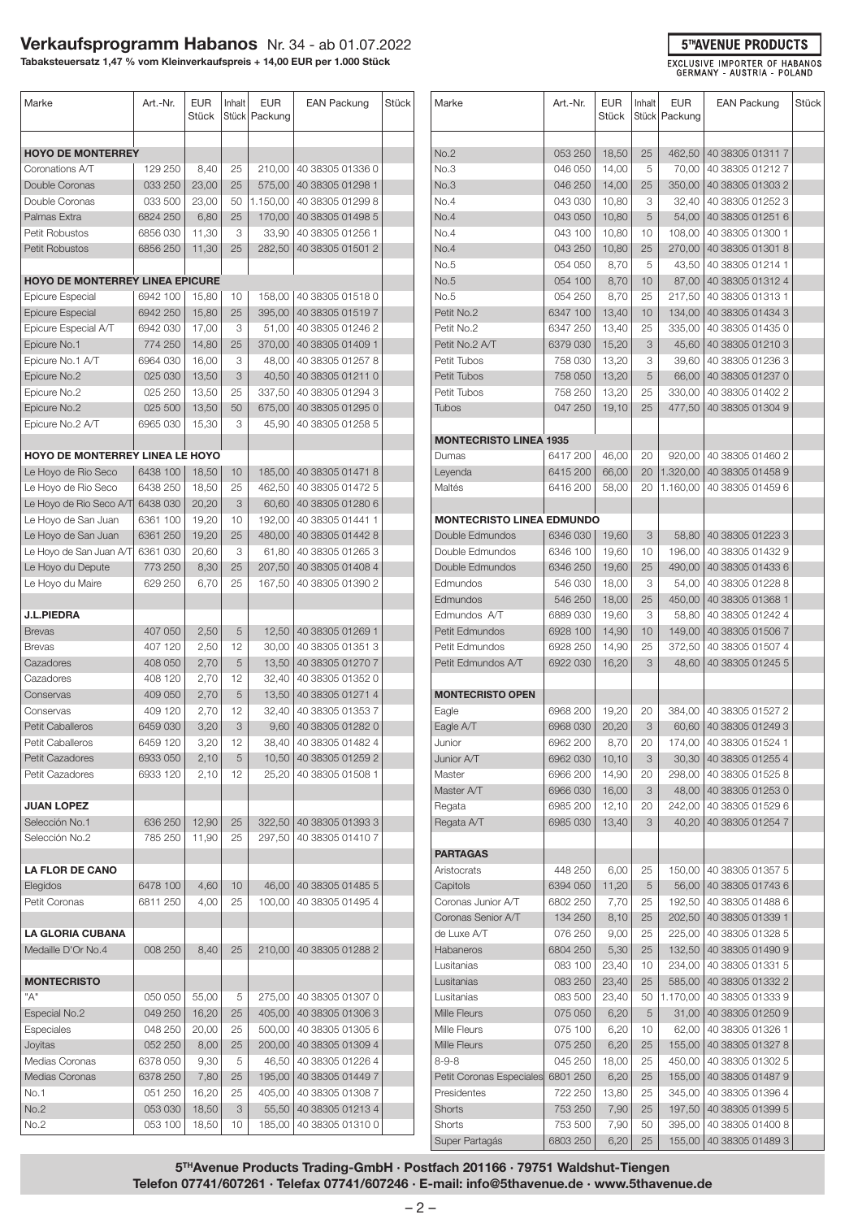### **Verkaufsprogramm Habanos** Nr. 34 - ab 01.07.2022

**Tabaksteuersatz 1,47 % vom Kleinverkaufspreis + 14,00 EUR per 1.000 Stück**

| Marke                                  | Art.-Nr. | <b>EUR</b><br>Stück | Inhalt | <b>EUR</b><br>Stück   Packung | <b>EAN Packung</b>        | Stück |
|----------------------------------------|----------|---------------------|--------|-------------------------------|---------------------------|-------|
| <b>HOYO DE MONTERREY</b>               |          |                     |        |                               |                           |       |
| Coronations A/T                        | 129 250  | 8,40                | 25     | 210,00                        | 40 38305 01336 0          |       |
| Double Coronas                         | 033 250  | 23,00               | 25     | 575,00                        | 40 38305 01298 1          |       |
| Double Coronas                         | 033 500  | 23,00               | 50     | 1.150,00                      | 40 38305 01299 8          |       |
| Palmas Extra                           | 6824 250 | 6,80                | 25     | 170,00                        | 40 38305 01498 5          |       |
| Petit Robustos                         | 6856030  | 11,30               | 3      | 33,90                         | 40 38305 01256 1          |       |
| <b>Petit Robustos</b>                  | 6856 250 | 11,30               | 25     |                               | 40 38305 01501 2          |       |
|                                        |          |                     |        | 282,50                        |                           |       |
| <b>HOYO DE MONTERREY LINEA EPICURE</b> |          |                     |        |                               |                           |       |
| <b>Epicure Especial</b>                | 6942 100 | 15,80               | 10     | 158,00                        | 40 38305 01518 0          |       |
| <b>Epicure Especial</b>                | 6942 250 | 15,80               | 25     | 395,00                        | 40 38305 01519 7          |       |
| Epicure Especial A/T                   | 6942 030 | 17,00               | 3      | 51,00                         | 40 38305 01246 2          |       |
| Epicure No.1                           | 774 250  | 14,80               | 25     | 370,00                        | 40 38305 01409 1          |       |
| Epicure No.1 A/T                       | 6964 030 | 16,00               | 3      | 48,00                         | 40 38305 01257 8          |       |
| Epicure No.2                           | 025 030  | 13,50               | 3      | 40,50                         | 40 38305 01211 0          |       |
| Epicure No.2                           | 025 250  | 13,50               | 25     | 337,50                        | 40 38305 01294 3          |       |
| Epicure No.2                           | 025 500  | 13,50               | 50     | 675,00                        | 40 38305 01295 0          |       |
| Epicure No.2 A/T                       | 6965 030 | 15,30               | 3      | 45.90                         | 40 38305 01258 5          |       |
|                                        |          |                     |        |                               |                           |       |
| HOYO DE MONTERREY LINEA LE HOYO        |          |                     |        |                               |                           |       |
| Le Hoyo de Rio Seco                    | 6438 100 | 18,50               | 10     | 185,00                        | 40 38305 01471 8          |       |
| Le Hoyo de Rio Seco                    | 6438 250 | 18,50               | 25     | 462,50                        | 40 38305 01472 5          |       |
| Le Hoyo de Rio Seco A/T                | 6438 030 | 20,20               | 3      | 60,60                         | 40 38305 01280 6          |       |
| Le Hoyo de San Juan                    | 6361 100 | 19,20               | 10     | 192,00                        | 40 38305 01441 1          |       |
| Le Hoyo de San Juan                    | 6361 250 | 19,20               | 25     | 480,00                        | 40 38305 01442 8          |       |
| Le Hoyo de San Juan A/T                | 6361 030 | 20,60               | 3      | 61,80                         | 40 38305 01265 3          |       |
| Le Hoyo du Depute                      | 773 250  | 8,30                | 25     | 207,50                        | 40 38305 01408 4          |       |
| Le Hoyo du Maire                       | 629 250  | 6,70                | 25     | 167,50                        | 40 38305 01390 2          |       |
| <b>J.L.PIEDRA</b>                      |          |                     |        |                               |                           |       |
| <b>Brevas</b>                          | 407 050  | 2,50                | 5      | 12,50                         | 40 38305 01269 1          |       |
| <b>Brevas</b>                          | 407 120  | 2,50                | 12     | 30,00                         | 40 38305 01351 3          |       |
| Cazadores                              | 408 050  | 2,70                | 5      | 13,50                         | 40 38305 01270 7          |       |
| Cazadores                              | 408 120  | 2,70                | 12     | 32,40                         | 40 38305 01352 0          |       |
| Conservas                              | 409 050  | 2,70                | 5      | 13,50                         | 40 38305 01271 4          |       |
| Conservas                              | 409 120  | 2,70                | 12     | 32,40                         | 40 38305 01353 7          |       |
| Petit Caballeros                       | 6459 030 | 3,20                | 3      | 9,60                          | 40 38305 01282 0          |       |
| Petit Caballeros                       | 6459 120 | 3,20                | 12     | 38,40                         | 40 38305 01482 4          |       |
| <b>Petit Cazadores</b>                 | 6933 050 | 2,10                | 5      | 10,50                         | 40 38305 01259 2          |       |
| Petit Cazadores                        | 6933 120 | 2,10                | 12     | 25,20                         | 40 38305 01508 1          |       |
| <b>JUAN LOPEZ</b>                      |          |                     |        |                               |                           |       |
| Selección No.1                         | 636 250  | 12,90               | 25     |                               | 322,50   40 38305 01393 3 |       |
| Selección No.2                         | 785 250  | 11,90               | 25     | 297,50                        | 40 38305 01410 7          |       |
|                                        |          |                     |        |                               |                           |       |
| <b>LA FLOR DE CANO</b>                 |          |                     |        |                               |                           |       |
| Elegidos                               | 6478 100 | 4,60                | 10     | 46,00                         | 40 38305 01485 5          |       |
| Petit Coronas                          | 6811 250 | 4,00                | 25     | 100.00                        | 40 38305 01495 4          |       |
| <b>LA GLORIA CUBANA</b>                |          |                     |        |                               |                           |       |
| Medaille D'Or No.4                     | 008 250  | 8,40                | 25     |                               | 210,00   40 38305 01288 2 |       |
| <b>MONTECRISTO</b>                     |          |                     |        |                               |                           |       |
| "A"                                    | 050 050  | 55,00               | 5      | 275,00                        | 40 38305 01307 0          |       |
| Especial No.2                          | 049 250  | 16,20               | 25     | 405,00                        | 40 38305 01306 3          |       |
| Especiales                             | 048 250  | 20,00               | 25     | 500,00                        | 40 38305 01305 6          |       |
| Joyitas                                | 052 250  | 8,00                | 25     |                               | 200,00 40 38305 01309 4   |       |
| Medias Coronas                         | 6378 050 | 9,30                | 5      | 46,50                         | 40 38305 01226 4          |       |
| Medias Coronas                         | 6378 250 | 7,80                | 25     | 195,00                        | 40 38305 01449 7          |       |
| No.1                                   | 051 250  | 16,20               | 25     | 405,00                        | 40 38305 01308 7          |       |
| No.2                                   | 053 030  | 18,50               | 3      | 55,50                         | 40 38305 01213 4          |       |
| No.2                                   | 053 100  | 18,50               | 10     | 185,00                        | 40 38305 01310 0          |       |

| Marke                                | Art.-Nr.             | <b>EUR</b><br>Stück | Inhalt  | <b>EUR</b><br>Stück   Packung | <b>EAN Packung</b>                   | Stück |
|--------------------------------------|----------------------|---------------------|---------|-------------------------------|--------------------------------------|-------|
| No.2                                 | 053 250              | 18,50               | 25      | 462,50                        | 40 38305 01311 7                     |       |
| No.3                                 | 046 050              | 14,00               | 5       | 70,00                         | 40 38305 01212 7                     |       |
| No.3                                 | 046 250              | 14,00               | 25      | 350,00                        | 40 38305 01303 2                     |       |
| No.4                                 | 043 030              | 10,80               | 3       | 32,40                         | 40 38305 01252 3                     |       |
| No.4                                 | 043 050              | 10,80               | 5       | 54,00                         | 40 38305 01251 6                     |       |
| No.4                                 | 043 100              | 10,80               | 10      | 108,00                        | 40 38305 01300 1                     |       |
| No.4                                 | 043 250              | 10,80               | 25      | 270,00                        | 40 38305 01301 8                     |       |
| No.5                                 | 054 050              | 8,70                | 5       | 43,50                         | 40 38305 01214 1                     |       |
| No.5                                 | 054 100              | 8,70                | 10      | 87,00                         | 40 38305 01312 4                     |       |
| No.5                                 | 054 250              | 8,70                | 25      | 217,50                        | 40 38305 01313 1                     |       |
| Petit No.2                           | 6347 100             | 13,40               | 10      | 134,00                        | 40 38305 01434 3                     |       |
| Petit No.2                           | 6347 250             | 13,40               | 25      | 335,00                        | 40 38305 01435 0                     |       |
| Petit No.2 A/T                       | 6379 030             | 15,20               | 3       | 45,60                         | 40 38305 01210 3                     |       |
| Petit Tubos                          | 758 030              | 13,20               | 3       | 39,60                         | 40 38305 01236 3                     |       |
| Petit Tubos                          | 758 050              | 13,20               | 5       | 66,00                         | 40 38305 01237 0                     |       |
| Petit Tubos                          | 758 250              | 13,20               | 25      | 330,00                        | 40 38305 01402 2                     |       |
| Tubos                                | 047 250              | 19,10               | 25      | 477,50                        | 40 38305 01304 9                     |       |
| <b>MONTECRISTO LINEA 1935</b>        |                      |                     |         |                               |                                      |       |
| Dumas                                | 6417 200             | 46,00               | 20      | 920,00                        | 40 38305 01460 2                     |       |
| Leyenda                              | 6415 200             | 66,00               | 20      | 1.320,00                      | 40 38305 01458 9                     |       |
| Maltés                               | 6416 200             | 58,00               | 20      | 1.160,00                      | 40 38305 01459 6                     |       |
|                                      |                      |                     |         |                               |                                      |       |
| <b>MONTECRISTO LINEA EDMUNDO</b>     |                      |                     |         |                               |                                      |       |
| Double Edmundos                      | 6346 030             | 19,60               | 3       | 58,80                         | 40 38305 01223 3                     |       |
| Double Edmundos                      | 6346 100             | 19,60               | 10      | 196,00                        | 40 38305 01432 9                     |       |
| Double Edmundos                      | 6346 250             | 19,60               | 25      | 490,00                        | 40 38305 01433 6                     |       |
| Edmundos                             | 546 030              | 18,00               | 3       | 54,00                         | 40 38305 01228 8                     |       |
| Edmundos                             | 546 250              | 18,00               | 25      | 450,00                        | 40 38305 01368 1                     |       |
| Edmundos A/T                         | 6889 030             | 19,60               | 3       | 58,80                         | 40 38305 01242 4                     |       |
| Petit Edmundos                       | 6928 100             | 14,90               | 10      | 149,00                        | 40 38305 01506 7                     |       |
| Petit Edmundos<br>Petit Edmundos A/T | 6928 250<br>6922 030 | 14,90<br>16,20      | 25<br>3 | 372,50<br>48,60               | 40 38305 01507 4<br>40 38305 01245 5 |       |
|                                      |                      |                     |         |                               |                                      |       |
| <b>MONTECRISTO OPEN</b>              |                      |                     |         |                               |                                      |       |
| Eagle                                | 6968 200             | 19,20               | 20      | 384,00                        | 40 38305 01527 2                     |       |
| Eagle A/T                            | 6968 030             | 20,20               | 3       | 60,60                         | 40 38305 01249 3                     |       |
| Junior                               | 6962 200             | 8,70                | 20      | 174,00                        | 40 38305 01524 1                     |       |
| Junior A/T                           | 6962 030             | 10, 10              | 3       | 30,30                         | 40 38305 01255 4                     |       |
| Master                               | 6966 200             | 14,90               | 20      | 298,00                        | 40 38305 01525 8                     |       |
| Master A/T                           | 6966 030             | 16,00               | 3       | 48,00                         | 40 38305 01253 0                     |       |
| Regata                               | 6985 200             | 12,10               | 20      | 242,00                        | 40 38305 01529 6                     |       |
| Regata A/T                           | 6985 030             | 13,40               | 3       | 40,20                         | 40 38305 01254 7                     |       |
| <b>PARTAGAS</b>                      |                      |                     |         |                               |                                      |       |
| Aristocrats                          | 448 250              | 6,00                | 25      | 150,00                        | 40 38305 01357 5                     |       |
| Capitols                             | 6394 050             | 11,20               | 5       | 56,00                         | 40 38305 01743 6                     |       |
| Coronas Junior A/T                   | 6802 250             | 7,70                | 25      | 192,50                        | 40 38305 01488 6                     |       |
| Coronas Senior A/T                   | 134 250              | 8,10                | 25      | 202,50                        | 40 38305 01339 1                     |       |
| de Luxe A/T                          | 076 250              | 9,00                | 25      | 225,00                        | 40 38305 01328 5                     |       |
| Habaneros                            | 6804 250             | 5,30                | 25      | 132,50                        | 40 38305 01490 9                     |       |
| Lusitanias                           | 083 100              | 23,40               | 10      | 234,00                        | 40 38305 01331 5                     |       |
| Lusitanias                           | 083 250              | 23,40               | 25      | 585,00                        | 40 38305 01332 2                     |       |
| Lusitanias                           | 083 500              | 23,40               | 50      | 1.170,00                      | 40 38305 01333 9                     |       |
| Mille Fleurs                         | 075 050              | 6,20                | 5       | 31,00                         | 40 38305 01250 9                     |       |
| Mille Fleurs                         | 075 100              | 6,20                | 10      | 62,00                         | 40 38305 01326 1                     |       |
| Mille Fleurs                         | 075 250              | 6,20                | 25      | 155,00                        | 40 38305 01327 8                     |       |
| $8 - 9 - 8$                          | 045 250              | 18,00               | 25      | 450,00                        | 40 38305 01302 5                     |       |
| Petit Coronas Especiales             | 6801 250             | 6,20                | 25      | 155,00                        | 40 38305 01487 9                     |       |
| Presidentes                          | 722 250              | 13,80               | 25      | 345,00                        | 40 38305 01396 4                     |       |
| <b>Shorts</b>                        | 753 250              | 7,90                | 25      | 197,50                        | 40 38305 01399 5                     |       |
| Shorts                               | 753 500              | 7,90                | 50      | 395,00                        | 40 38305 01400 8                     |       |
| Super Partagás                       | 6803 250             | 6,20                | 25      | 155,00                        | 40 38305 01489 3                     |       |

**5THAVENUE PRODUCTS** EXCLUSIVE IMPORTER OF HABANOS<br>GERMANY - AUSTRIA - POLAND

**5THAvenue Products Trading-GmbH · Postfach 201166 · 79751 Waldshut-Tiengen Telefon 07741/607261 · Telefax 07741/607246 · E-mail: info@5thavenue.de · www.5thavenue.de**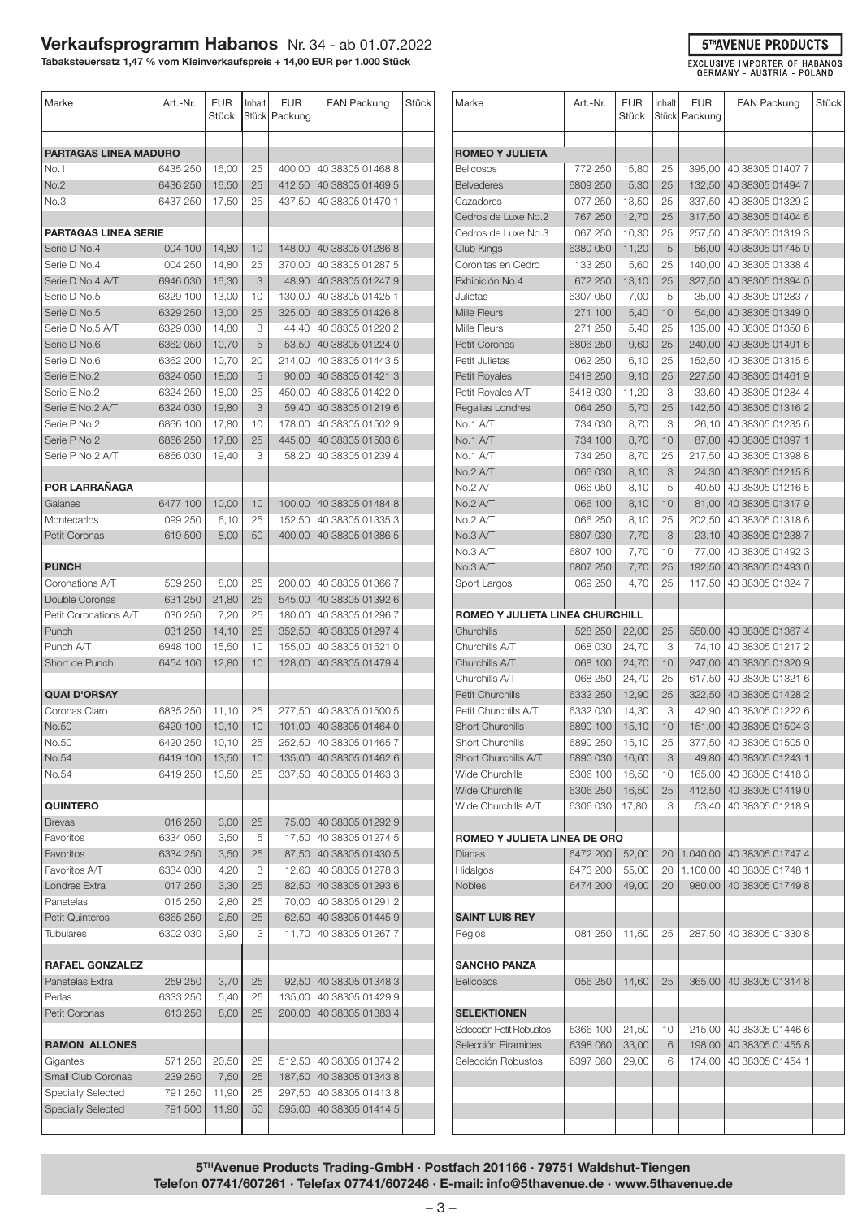# **Verkaufsprogramm Habanos** Nr. 34 - ab 01.07.2022

**Tabaksteuersatz 1,47 % vom Kleinverkaufspreis + 14,00 EUR per 1.000 Stück**

| Marke                                     | Art.-Nr.             | <b>EUR</b><br>Stück | Inhalt          | EUR<br>Stück   Packung | <b>EAN Packung</b>                   | Stück |
|-------------------------------------------|----------------------|---------------------|-----------------|------------------------|--------------------------------------|-------|
| PARTAGAS LINEA MADURO                     |                      |                     |                 |                        |                                      |       |
| No.1                                      | 6435 250             | 16,00               | 25              |                        | 400,00   40 38305 01468 8            |       |
| No.2                                      | 6436 250             | 16,50               | 25              | 412,50                 | 40 38305 01469 5                     |       |
| No.3                                      | 6437 250             | 17,50               | 25              | 437,50                 | 40 38305 01470 1                     |       |
| <b>PARTAGAS LINEA SERIE</b>               |                      |                     |                 |                        |                                      |       |
| Serie D No.4                              | 004 100              | 14,80               | 10              |                        | 148.00   40 38305 01286 8            |       |
| Serie D No.4                              | 004 250              | 14,80               | 25              | 370,00                 | 40 38305 01287 5                     |       |
| Serie D No.4 A/T                          | 6946 030             | 16,30               | 3               | 48,90                  | 40 38305 01247 9                     |       |
| Serie D No.5                              | 6329 100             | 13,00               | 10              | 130.00                 | 40 38305 01425 1                     |       |
| Serie D No.5                              | 6329 250             | 13,00               | 25              | 325,00                 | 40 38305 01426 8                     |       |
| Serie D No.5 A/T                          | 6329 030             | 14,80               | 3               |                        | 44,40   40 38305 01220 2             |       |
| Serie D No.6                              | 6362 050             | 10,70               | 5               |                        | 53,50 40 38305 01224 0               |       |
| Serie D No.6                              | 6362 200             | 10,70               | 20              | 214,00                 | 40 38305 01443 5                     |       |
| Serie E No.2                              | 6324 050             | 18,00               | 5               | 90,00                  | 40 38305 01421 3                     |       |
| Serie E No.2                              | 6324 250             | 18,00               | 25              | 450,00                 | 40 38305 01422 0                     |       |
| Serie E No.2 A/T                          | 6324 030             | 19,80               | 3               | 59,40                  | 40 38305 01219 6                     |       |
| Serie P No.2                              | 6866 100             | 17,80               | 10              | 178,00                 | 40 38305 01502 9                     |       |
| Serie P No.2                              | 6866 250             | 17,80               | 25              | 445,00                 | 40 38305 01503 6                     |       |
| Serie P No.2 A/T                          | 6866 030             | 19,40               | 3               | 58,20                  | 40 38305 01239 4                     |       |
| POR LARRAÑAGA                             |                      |                     |                 |                        |                                      |       |
| Galanes                                   | 6477 100             | 10,00               | 10 <sup>°</sup> |                        | 100,00   40 38305 01484 8            |       |
| Montecarlos                               | 099 250              | 6,10                | 25              |                        | 152,50   40 38305 01335 3            |       |
| Petit Coronas                             | 619 500              | 8,00                | 50              | 400,00                 | 40 38305 01386 5                     |       |
|                                           |                      |                     |                 |                        |                                      |       |
| <b>PUNCH</b><br>Coronations A/T           | 509 250              |                     |                 |                        | 200,00   40 38305 01366 7            |       |
| Double Coronas                            | 631 250              | 8,00<br>21,80       | 25<br>25        |                        | 545,00   40 38305 01392 6            |       |
| Petit Coronations A/T                     | 030 250              | 7,20                | 25              |                        | 180,00   40 38305 01296 7            |       |
| Punch                                     | 031 250              | 14,10               | 25              | 352,50                 | 40 38305 01297 4                     |       |
| Punch A/T                                 | 6948 100             | 15,50               | 10              | 155,00                 | 40 38305 01521 0                     |       |
| Short de Punch                            | 6454 100             | 12,80               | 10              | 128,00                 | 40 38305 01479 4                     |       |
| <b>QUAI D'ORSAY</b>                       |                      |                     |                 |                        |                                      |       |
| Coronas Claro                             | 6835 250             | 11,10               | 25              |                        | 277,50   40 38305 01500 5            |       |
| No.50                                     | 6420 100             | 10, 10              | 10              |                        | 101,00 40 38305 01464 0              |       |
| No.50                                     | 6420 250             | 10, 10              | 25              |                        | 252,50 40 38305 01465 7              |       |
| No.54                                     | 6419 100             | 13,50               | 10              |                        | 135,00   40 38305 01462 6            |       |
| No.54                                     | 6419250              | 13,50               | 25              | 337,50                 | 40 38305 01463 3                     |       |
|                                           |                      |                     |                 |                        |                                      |       |
| <b>QUINTERO</b>                           |                      |                     |                 |                        |                                      |       |
| <b>Brevas</b>                             | 016 250              | 3,00                | 25              |                        | 75,00 40 38305 01292 9               |       |
| Favoritos                                 | 6334 050             | 3,50                | 5               | 17,50                  | 40 38305 01274 5                     |       |
| Favoritos                                 | 6334 250<br>6334 030 | 3,50                | 25              | 87,50                  | 40 38305 01430 5<br>40 38305 01278 3 |       |
| Favoritos A/T<br>Londres Extra            | 017 250              | 4,20<br>3,30        | З<br>25         | 12,60<br>82,50         | 40 38305 01293 6                     |       |
| Panetelas                                 | 015 250              | 2,80                | 25              | 70,00                  | 40 38305 01291 2                     |       |
| <b>Petit Quinteros</b>                    | 6365 250             | 2,50                | 25              | 62,50                  | 40 38305 01445 9                     |       |
| <b>Tubulares</b>                          | 6302 030             | 3,90                | 3               | 11,70                  | 40 38305 01267 7                     |       |
|                                           |                      |                     |                 |                        |                                      |       |
| <b>RAFAEL GONZALEZ</b><br>Panetelas Extra | 259 250              | 3,70                | 25              | 92,50                  | 40 38305 01348 3                     |       |
| Perlas                                    | 6333 250             | 5,40                | 25              | 135,00                 | 40 38305 01429 9                     |       |
| Petit Coronas                             | 613 250              | 8,00                | 25              | 200,00                 | 40 38305 01383 4                     |       |
|                                           |                      |                     |                 |                        |                                      |       |
| <b>RAMON ALLONES</b><br>Gigantes          | 571 250              |                     |                 |                        | 512,50   40 38305 01374 2            |       |
| Small Club Coronas                        | 239 250              | 20,50<br>7,50       | 25<br>25        | 187,50                 | 40 38305 01343 8                     |       |
| <b>Specially Selected</b>                 | 791 250              | 11,90               | 25              | 297,50                 | 40 38305 01413 8                     |       |
| <b>Specially Selected</b>                 | 791 500              | 11,90               | 50              | 595,00                 | 40 38305 01414 5                     |       |
|                                           |                      |                     |                 |                        |                                      |       |
|                                           |                      |                     |                 |                        |                                      |       |

| Marke                           | Art.-Nr. | <b>EUR</b><br>Stück | Inhalt | <b>EUR</b><br>Stück   Packung | <b>EAN Packung</b> | Stück |
|---------------------------------|----------|---------------------|--------|-------------------------------|--------------------|-------|
| <b>ROMEO Y JULIETA</b>          |          |                     |        |                               |                    |       |
| <b>Belicosos</b>                | 772 250  | 15,80               | 25     | 395,00                        | 40 38305 01407 7   |       |
| <b>Belvederes</b>               | 6809 250 | 5,30                | 25     | 132,50                        | 40 38305 01494 7   |       |
| Cazadores                       | 077 250  | 13,50               | 25     | 337,50                        | 40 38305 01329 2   |       |
| Cedros de Luxe No.2             | 767 250  | 12,70               | 25     | 317,50                        | 40 38305 01404 6   |       |
| Cedros de Luxe No.3             | 067 250  | 10,30               | 25     | 257,50                        | 40 38305 01319 3   |       |
| Club Kings                      | 6380 050 | 11,20               | 5      | 56,00                         | 40 38305 01745 0   |       |
| Coronitas en Cedro              | 133 250  | 5,60                | 25     | 140,00                        | 40 38305 01338 4   |       |
| Exhibición No.4                 | 672 250  | 13,10               | 25     | 327,50                        | 40 38305 01394 0   |       |
| Julietas                        | 6307 050 | 7,00                | 5      | 35,00                         | 40 38305 01283 7   |       |
| Mille Fleurs                    | 271 100  | 5,40                | 10     | 54,00                         | 40 38305 01349 0   |       |
| Mille Fleurs                    | 271 250  | 5,40                | 25     | 135,00                        | 40 38305 01350 6   |       |
| Petit Coronas                   | 6806 250 | 9,60                | 25     | 240,00                        | 40 38305 01491 6   |       |
| Petit Julietas                  | 062 250  | 6,10                | 25     | 152,50                        | 40 38305 01315 5   |       |
| <b>Petit Royales</b>            | 6418 250 | 9,10                | 25     | 227,50                        | 40 38305 01461 9   |       |
| Petit Royales A/T               | 6418030  | 11,20               | 3      | 33,60                         | 40 38305 01284 4   |       |
| Regalias Londres                | 064 250  | 5,70                | 25     | 142,50                        | 40 38305 01316 2   |       |
| No.1 A/T                        | 734 030  | 8,70                | 3      | 26,10                         | 40 38305 01235 6   |       |
| No.1 A/T                        | 734 100  | 8,70                | 10     | 87,00                         | 40 38305 01397 1   |       |
| No.1 A/T                        | 734 250  | 8,70                | 25     | 217,50                        | 40 38305 01398 8   |       |
| No.2 A/T                        | 066 030  | 8,10                | 3      | 24,30                         | 40 38305 01215 8   |       |
| No.2 A/T                        | 066 050  | 8,10                | 5      | 40,50                         | 40 38305 01216 5   |       |
| No.2 A/T                        | 066 100  | 8,10                | 10     | 81,00                         | 40 38305 01317 9   |       |
| No.2 A/T                        | 066 250  | 8,10                | 25     | 202,50                        | 40 38305 01318 6   |       |
| No.3 A/T                        | 6807 030 | 7,70                | 3      | 23,10                         | 40 38305 01238 7   |       |
| No.3 A/T                        | 6807 100 | 7,70                | 10     | 77,00                         | 40 38305 01492 3   |       |
| No.3 A/T                        | 6807 250 | 7,70                | 25     | 192,50                        | 40 38305 01493 0   |       |
| Sport Largos                    | 069 250  | 4,70                | 25     | 117,50                        | 40 38305 01324 7   |       |
|                                 |          |                     |        |                               |                    |       |
| ROMEO Y JULIETA LINEA CHURCHILL |          |                     |        |                               |                    |       |
| Churchills                      | 528 250  | 22,00               | 25     | 550,00                        | 40 38305 01367 4   |       |
| Churchills A/T                  | 068 030  | 24,70               | 3      | 74,10                         | 40 38305 01217 2   |       |
| Churchills A/T                  | 068 100  | 24,70               | 10     | 247,00                        | 40 38305 01320 9   |       |
| Churchills A/T                  | 068 250  | 24,70               | 25     | 617,50                        | 40 38305 01321 6   |       |
| Petit Churchills                | 6332 250 | 12,90               | 25     | 322,50                        | 40 38305 01428 2   |       |
| Petit Churchills A/T            | 6332 030 | 14,30               | 3      | 42,90                         | 40 38305 01222 6   |       |
| <b>Short Churchills</b>         | 6890 100 | 15,10               | 10     | 151,00                        | 40 38305 01504 3   |       |
| Short Churchills                | 6890 250 | 15,10               | 25     | 377,50                        | 40 38305 01505 0   |       |
| Short Churchills A/T            | 6890 030 | 16,60               | 3      | 49,80                         | 40 38305 01243 1   |       |
| Wide Churchills                 | 6306 100 | 16,50               | 10     | 165,00                        | 40 38305 01418 3   |       |
| <b>Wide Churchills</b>          | 6306 250 | 16,50               | 25     | 412,50                        | 40 38305 01419 0   |       |
| Wide Churchills A/T             | 6306 030 | 17,80               | 3      | 53,40                         | 40 38305 01218 9   |       |
| ROMEO Y JULIETA LINEA DE ORO    |          |                     |        |                               |                    |       |
| Dianas                          | 6472 200 | 52,00               | 20     | 1.040,00                      | 40 38305 01747 4   |       |
| Hidalgos                        | 6473 200 | 55,00               | 20     | 1.100,00                      | 40 38305 01748 1   |       |
| <b>Nobles</b>                   | 6474 200 | 49,00               | 20     | 980,00                        | 40 38305 01749 8   |       |
|                                 |          |                     |        |                               |                    |       |
| <b>SAINT LUIS REY</b>           |          |                     |        |                               |                    |       |
| Regios                          | 081 250  | 11,50               | 25     | 287,50                        | 40 38305 01330 8   |       |
|                                 |          |                     |        |                               |                    |       |
| <b>SANCHO PANZA</b>             |          |                     |        |                               |                    |       |
| <b>Belicosos</b>                | 056 250  | 14,60               | 25     | 365,00                        | 40 38305 01314 8   |       |
| <b>SELEKTIONEN</b>              |          |                     |        |                               |                    |       |
| Selección Petit Robustos        | 6366 100 | 21,50               | 10     | 215,00                        | 40 38305 01446 6   |       |
| Selección Piramides             | 6398 060 | 33,00               | 6      | 198,00                        | 40 38305 01455 8   |       |
| Selección Robustos              | 6397 060 | 29,00               | 6      | 174,00                        | 40 38305 01454 1   |       |
|                                 |          |                     |        |                               |                    |       |
|                                 |          |                     |        |                               |                    |       |
|                                 |          |                     |        |                               |                    |       |
|                                 |          |                     |        |                               |                    |       |
|                                 |          |                     |        |                               |                    |       |

**5THAvenue Products Trading-GmbH · Postfach 201166 · 79751 Waldshut-Tiengen Telefon 07741/607261 · Telefax 07741/607246 · E-mail: info@5thavenue.de · www.5thavenue.de**

#### **5THAVENUE PRODUCTS**

EXCLUSIVE IMPORTER OF HABANOS<br>GERMANY - AUSTRIA - POLAND